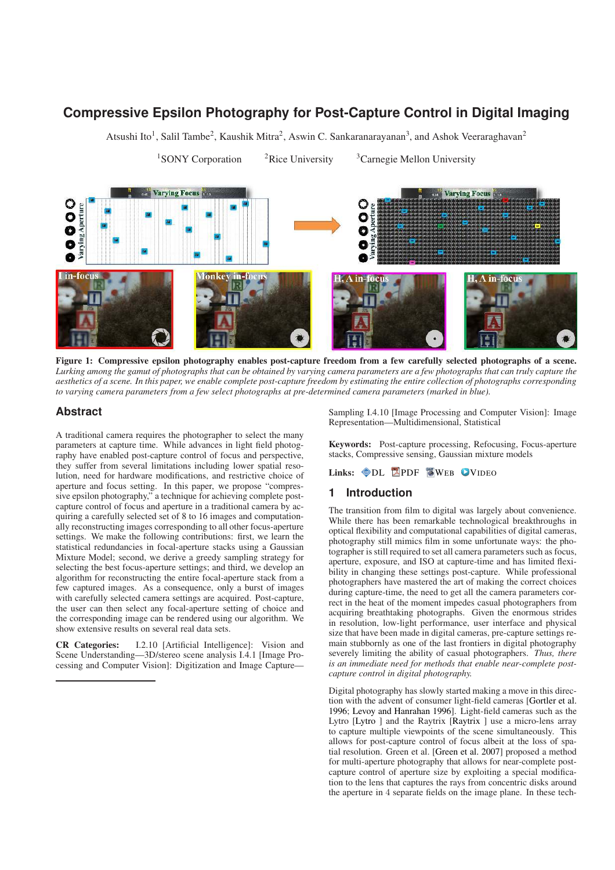# **Compressive Epsilon Photography for Post-Capture Control in Digital Imaging**

Atsushi Ito<sup>1</sup>, Salil Tambe<sup>2</sup>, Kaushik Mitra<sup>2</sup>, Aswin C. Sankaranarayanan<sup>3</sup>, and Ashok Veeraraghavan<sup>2</sup>

<sup>1</sup>SONY Corporation <sup>2</sup>Rice University <sup>3</sup>Carnegie Mellon University



**Figure 1: Compressive epsilon photography enables post-capture freedom from a few carefully selected photographs of a scene.** *Lurking among the gamut of photographs that can be obtained by varying camera parameters are a few photographs that can truly capture the aesthetics of a scene. In this paper, we enable complete post-capture freedom by estimating the entire collection of photographs corresponding to varying camera parameters from a few select photographs at pre-determined camera parameters (marked in blue).*

## **Abstract**

A traditional camera requires the photographer to select the many parameters at capture time. While advances in light field photography have enabled post-capture control of focus and perspective, they suffer from several limitations including lower spatial resolution, need for hardware modifications, and restrictive choice of aperture and focus setting. In this paper, we propose "compressive epsilon photography," a technique for achieving complete postcapture control of focus and aperture in a traditional camera by acquiring a carefully selected set of 8 to 16 images and computationally reconstructing images corresponding to all other focus-aperture settings. We make the following contributions: first, we learn the statistical redundancies in focal-aperture stacks using a Gaussian Mixture Model; second, we derive a greedy sampling strategy for selecting the best focus-aperture settings; and third, we develop an algorithm for reconstructing the entire focal-aperture stack from a few captured images. As a consequence, only a burst of images with carefully selected camera settings are acquired. Post-capture, the user can then select any focal-aperture setting of choice and the corresponding image can be rendered using our algorithm. We show extensive results on several real data sets.

**CR Categories:** I.2.10 [Artificial Intelligence]: Vision and Scene Understanding—3D/stereo scene analysis I.4.1 [Image Processing and Computer Vision]: Digitization and Image CaptureSampling I.4.10 [Image Processing and Computer Vision]: Image Representation—Multidimensional, Statistical

**Keywords:** Post-capture processing, Refocusing, Focus-aperture stacks, Compressive sensing, Gaussian mixture models

## Links: **ODL APDF WEB OVIDEO**

## **1 Introduction**

The transition from film to digital was largely about convenience. While there has been remarkable technological breakthroughs in optical flexibility and computational capabilities of digital cameras, photography still mimics film in some unfortunate ways: the photographer is still required to set all camera parameters such as focus, aperture, exposure, and ISO at capture-time and has limited flexibility in changing these settings post-capture. While professional photographers have mastered the art of making the correct choices during capture-time, the need to get all the camera parameters correct in the heat of the moment impedes casual photographers from acquiring breathtaking photographs. Given the enormous strides in resolution, low-light performance, user interface and physical size that have been made in digital cameras, pre-capture settings remain stubbornly as one of the last frontiers in digital photography severely limiting the ability of casual photographers. *Thus, there is an immediate need for methods that enable near-complete postcapture control in digital photography.*

Digital photography has slowly started making a move in this direction with the advent of consumer light-field cameras [Gortler et al. 1996; Levoy and Hanrahan 1996]. Light-field cameras such as the Lytro [Lytro ] and the Raytrix [Raytrix ] use a micro-lens array to capture multiple viewpoints of the scene simultaneously. This allows for post-capture control of focus albeit at the loss of spatial resolution. Green et al. [Green et al. 2007] proposed a method for multi-aperture photography that allows for near-complete postcapture control of aperture size by exploiting a special modification to the lens that captures the rays from concentric disks around the aperture in 4 separate fields on the image plane. In these tech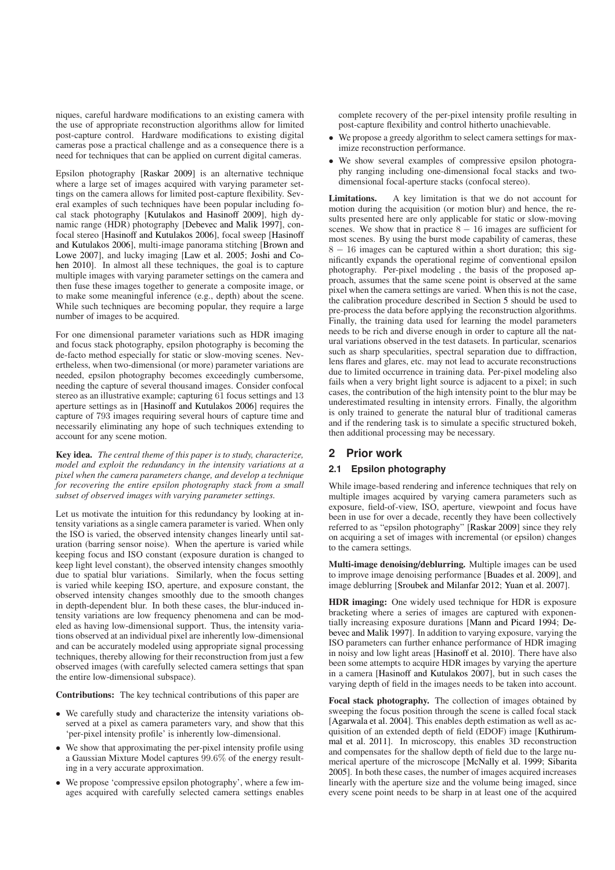niques, careful hardware modifications to an existing camera with the use of appropriate reconstruction algorithms allow for limited post-capture control. Hardware modifications to existing digital cameras pose a practical challenge and as a consequence there is a need for techniques that can be applied on current digital cameras.

Epsilon photography [Raskar 2009] is an alternative technique where a large set of images acquired with varying parameter settings on the camera allows for limited post-capture flexibility. Several examples of such techniques have been popular including focal stack photography [Kutulakos and Hasinoff 2009], high dynamic range (HDR) photography [Debevec and Malik 1997], confocal stereo [Hasinoff and Kutulakos 2006], focal sweep [Hasinoff and Kutulakos 2006], multi-image panorama stitching [Brown and Lowe 2007], and lucky imaging [Law et al. 2005; Joshi and Cohen 2010]. In almost all these techniques, the goal is to capture multiple images with varying parameter settings on the camera and then fuse these images together to generate a composite image, or to make some meaningful inference (e.g., depth) about the scene. While such techniques are becoming popular, they require a large number of images to be acquired.

For one dimensional parameter variations such as HDR imaging and focus stack photography, epsilon photography is becoming the de-facto method especially for static or slow-moving scenes. Nevertheless, when two-dimensional (or more) parameter variations are needed, epsilon photography becomes exceedingly cumbersome, needing the capture of several thousand images. Consider confocal stereo as an illustrative example; capturing 61 focus settings and 13 aperture settings as in [Hasinoff and Kutulakos 2006] requires the capture of 793 images requiring several hours of capture time and necessarily eliminating any hope of such techniques extending to account for any scene motion.

**Key idea.** *The central theme of this paper is to study, characterize, model and exploit the redundancy in the intensity variations at a pixel when the camera parameters change, and develop a technique for recovering the entire epsilon photography stack from a small subset of observed images with varying parameter settings.*

Let us motivate the intuition for this redundancy by looking at intensity variations as a single camera parameter is varied. When only the ISO is varied, the observed intensity changes linearly until saturation (barring sensor noise). When the aperture is varied while keeping focus and ISO constant (exposure duration is changed to keep light level constant), the observed intensity changes smoothly due to spatial blur variations. Similarly, when the focus setting is varied while keeping ISO, aperture, and exposure constant, the observed intensity changes smoothly due to the smooth changes in depth-dependent blur. In both these cases, the blur-induced intensity variations are low frequency phenomena and can be modeled as having low-dimensional support. Thus, the intensity variations observed at an individual pixel are inherently low-dimensional and can be accurately modeled using appropriate signal processing techniques, thereby allowing for their reconstruction from just a few observed images (with carefully selected camera settings that span the entire low-dimensional subspace).

**Contributions:** The key technical contributions of this paper are

- We carefully study and characterize the intensity variations observed at a pixel as camera parameters vary, and show that this 'per-pixel intensity profile' is inherently low-dimensional.
- We show that approximating the per-pixel intensity profile using a Gaussian Mixture Model captures 99.6% of the energy resulting in a very accurate approximation.
- We propose 'compressive epsilon photography', where a few images acquired with carefully selected camera settings enables

complete recovery of the per-pixel intensity profile resulting in post-capture flexibility and control hitherto unachievable.

- We propose a greedy algorithm to select camera settings for maximize reconstruction performance.
- We show several examples of compressive epsilon photography ranging including one-dimensional focal stacks and twodimensional focal-aperture stacks (confocal stereo).

**Limitations.** A key limitation is that we do not account for motion during the acquisition (or motion blur) and hence, the results presented here are only applicable for static or slow-moving scenes. We show that in practice  $8 - 16$  images are sufficient for most scenes. By using the burst mode capability of cameras, these 8 − 16 images can be captured within a short duration; this significantly expands the operational regime of conventional epsilon photography. Per-pixel modeling , the basis of the proposed approach, assumes that the same scene point is observed at the same pixel when the camera settings are varied. When this is not the case, the calibration procedure described in Section 5 should be used to pre-process the data before applying the reconstruction algorithms. Finally, the training data used for learning the model parameters needs to be rich and diverse enough in order to capture all the natural variations observed in the test datasets. In particular, scenarios such as sharp specularities, spectral separation due to diffraction, lens flares and glares, etc. may not lead to accurate reconstructions due to limited occurrence in training data. Per-pixel modeling also fails when a very bright light source is adjacent to a pixel; in such cases, the contribution of the high intensity point to the blur may be underestimated resulting in intensity errors. Finally, the algorithm is only trained to generate the natural blur of traditional cameras and if the rendering task is to simulate a specific structured bokeh, then additional processing may be necessary.

## **2 Prior work**

## **2.1 Epsilon photography**

While image-based rendering and inference techniques that rely on multiple images acquired by varying camera parameters such as exposure, field-of-view, ISO, aperture, viewpoint and focus have been in use for over a decade, recently they have been collectively referred to as "epsilon photography" [Raskar 2009] since they rely on acquiring a set of images with incremental (or epsilon) changes to the camera settings.

**Multi-image denoising/deblurring.** Multiple images can be used to improve image denoising performance [Buades et al. 2009], and image deblurring [Sroubek and Milanfar 2012; Yuan et al. 2007].

**HDR imaging:** One widely used technique for HDR is exposure bracketing where a series of images are captured with exponentially increasing exposure durations [Mann and Picard 1994; Debevec and Malik 1997]. In addition to varying exposure, varying the ISO parameters can further enhance performance of HDR imaging in noisy and low light areas [Hasinoff et al. 2010]. There have also been some attempts to acquire HDR images by varying the aperture in a camera [Hasinoff and Kutulakos 2007], but in such cases the varying depth of field in the images needs to be taken into account.

**Focal stack photography.** The collection of images obtained by sweeping the focus position through the scene is called focal stack [Agarwala et al. 2004]. This enables depth estimation as well as acquisition of an extended depth of field (EDOF) image [Kuthirummal et al. 2011]. In microscopy, this enables 3D reconstruction and compensates for the shallow depth of field due to the large numerical aperture of the microscope [McNally et al. 1999; Sibarita 2005]. In both these cases, the number of images acquired increases linearly with the aperture size and the volume being imaged, since every scene point needs to be sharp in at least one of the acquired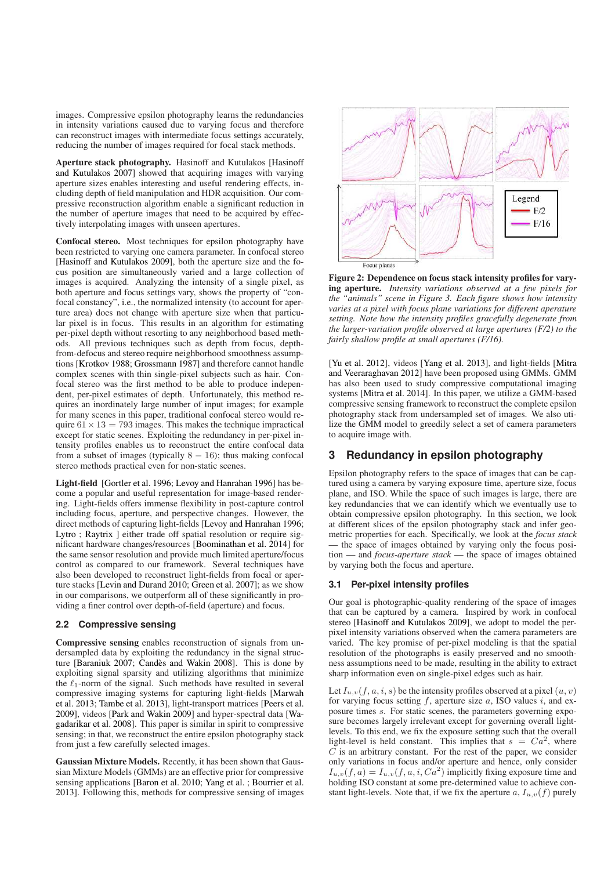images. Compressive epsilon photography learns the redundancies in intensity variations caused due to varying focus and therefore can reconstruct images with intermediate focus settings accurately, reducing the number of images required for focal stack methods.

**Aperture stack photography.** Hasinoff and Kutulakos [Hasinoff and Kutulakos 2007] showed that acquiring images with varying aperture sizes enables interesting and useful rendering effects, including depth of field manipulation and HDR acquisition. Our compressive reconstruction algorithm enable a significant reduction in the number of aperture images that need to be acquired by effectively interpolating images with unseen apertures.

**Confocal stereo.** Most techniques for epsilon photography have been restricted to varying one camera parameter. In confocal stereo [Hasinoff and Kutulakos 2009], both the aperture size and the focus position are simultaneously varied and a large collection of images is acquired. Analyzing the intensity of a single pixel, as both aperture and focus settings vary, shows the property of "confocal constancy", i.e., the normalized intensity (to account for aperture area) does not change with aperture size when that particular pixel is in focus. This results in an algorithm for estimating per-pixel depth without resorting to any neighborhood based methods. All previous techniques such as depth from focus, depthfrom-defocus and stereo require neighborhood smoothness assumptions [Krotkov 1988; Grossmann 1987] and therefore cannot handle complex scenes with thin single-pixel subjects such as hair. Confocal stereo was the first method to be able to produce independent, per-pixel estimates of depth. Unfortunately, this method requires an inordinately large number of input images; for example for many scenes in this paper, traditional confocal stereo would require  $61 \times 13 = 793$  images. This makes the technique impractical except for static scenes. Exploiting the redundancy in per-pixel intensity profiles enables us to reconstruct the entire confocal data from a subset of images (typically  $8 - 16$ ); thus making confocal stereo methods practical even for non-static scenes.

**Light-field** [Gortler et al. 1996; Levoy and Hanrahan 1996] has become a popular and useful representation for image-based rendering. Light-fields offers immense flexibility in post-capture control including focus, aperture, and perspective changes. However, the direct methods of capturing light-fields [Levoy and Hanrahan 1996; Lytro ; Raytrix ] either trade off spatial resolution or require significant hardware changes/resources [Boominathan et al. 2014] for the same sensor resolution and provide much limited aperture/focus control as compared to our framework. Several techniques have also been developed to reconstruct light-fields from focal or aperture stacks [Levin and Durand 2010; Green et al. 2007]; as we show in our comparisons, we outperform all of these significantly in providing a finer control over depth-of-field (aperture) and focus.

### **2.2 Compressive sensing**

**Compressive sensing** enables reconstruction of signals from undersampled data by exploiting the redundancy in the signal structure [Baraniuk 2007; Candès and Wakin 2008]. This is done by exploiting signal sparsity and utilizing algorithms that minimize the  $\ell_1$ -norm of the signal. Such methods have resulted in several compressive imaging systems for capturing light-fields [Marwah et al. 2013; Tambe et al. 2013], light-transport matrices [Peers et al. 2009], videos [Park and Wakin 2009] and hyper-spectral data [Wagadarikar et al. 2008]. This paper is similar in spirit to compressive sensing; in that, we reconstruct the entire epsilon photography stack from just a few carefully selected images.

**Gaussian Mixture Models.** Recently, it has been shown that Gaussian Mixture Models (GMMs) are an effective prior for compressive sensing applications [Baron et al. 2010; Yang et al. ; Bourrier et al. 2013]. Following this, methods for compressive sensing of images



**Figure 2: Dependence on focus stack intensity profiles for varying aperture.** *Intensity variations observed at a few pixels for the "animals" scene in Figure 3. Each figure shows how intensity varies at a pixel with focus plane variations for different aperature setting. Note how the intensity profiles gracefully degenerate from the larger-variation profile observed at large apertures (F/2) to the fairly shallow profile at small apertures (F/16).*

[Yu et al. 2012], videos [Yang et al. 2013], and light-fields [Mitra and Veeraraghavan 2012] have been proposed using GMMs. GMM has also been used to study compressive computational imaging systems [Mitra et al. 2014]. In this paper, we utilize a GMM-based compressive sensing framework to reconstruct the complete epsilon photography stack from undersampled set of images. We also utilize the GMM model to greedily select a set of camera parameters to acquire image with.

## **3 Redundancy in epsilon photography**

Epsilon photography refers to the space of images that can be captured using a camera by varying exposure time, aperture size, focus plane, and ISO. While the space of such images is large, there are key redundancies that we can identify which we eventually use to obtain compressive epsilon photography. In this section, we look at different slices of the epsilon photography stack and infer geometric properties for each. Specifically, we look at the *focus stack* — the space of images obtained by varying only the focus position — and *focus-aperture stack* — the space of images obtained by varying both the focus and aperture.

### **3.1 Per-pixel intensity profiles**

Our goal is photographic-quality rendering of the space of images that can be captured by a camera. Inspired by work in confocal stereo [Hasinoff and Kutulakos 2009], we adopt to model the perpixel intensity variations observed when the camera parameters are varied. The key promise of per-pixel modeling is that the spatial resolution of the photographs is easily preserved and no smoothness assumptions need to be made, resulting in the ability to extract sharp information even on single-pixel edges such as hair.

Let  $I_{u,v}(f, a, i, s)$  be the intensity profiles observed at a pixel  $(u, v)$ for varying focus setting  $f$ , aperture size  $a$ , ISO values  $i$ , and exposure times s. For static scenes, the parameters governing exposure becomes largely irrelevant except for governing overall lightlevels. To this end, we fix the exposure setting such that the overall light-level is held constant. This implies that  $s = Ca^2$ , where  $\tilde{C}$  is an arbitrary constant. For the rest of the paper, we consider only variations in focus and/or aperture and hence, only consider  $I_{u,v}(f, a) = I_{u,v}(f, a, i, Ca^2)$  implicitly fixing exposure time and holding ISO constant at some pre-determined value to achieve constant light-levels. Note that, if we fix the aperture  $a, I_{u,v}(f)$  purely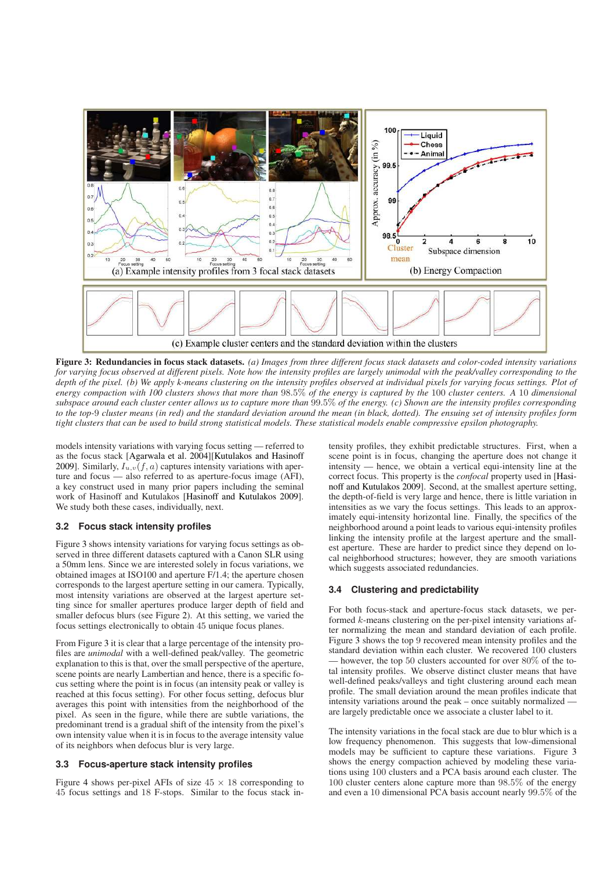

**Figure 3: Redundancies in focus stack datasets.** *(a) Images from three different focus stack datasets and color-coded intensity variations for varying focus observed at different pixels. Note how the intensity profiles are largely unimodal with the peak/valley corresponding to the depth of the pixel. (b) We apply k-means clustering on the intensity profiles observed at individual pixels for varying focus settings. Plot of energy compaction with 100 clusters shows that more than* 98.5% *of the energy is captured by the* 100 *cluster centers. A* 10 *dimensional subspace around each cluster center allows us to capture more than* 99.5% *of the energy. (c) Shown are the intensity profiles corresponding to the top-*9 *cluster means (in red) and the standard deviation around the mean (in black, dotted). The ensuing set of intensity profiles form tight clusters that can be used to build strong statistical models. These statistical models enable compressive epsilon photography.*

models intensity variations with varying focus setting — referred to as the focus stack [Agarwala et al. 2004][Kutulakos and Hasinoff 2009]. Similarly,  $I_{u,v}(f, a)$  captures intensity variations with aperture and focus — also referred to as aperture-focus image (AFI), a key construct used in many prior papers including the seminal work of Hasinoff and Kutulakos [Hasinoff and Kutulakos 2009]. We study both these cases, individually, next.

#### **3.2 Focus stack intensity profiles**

Figure 3 shows intensity variations for varying focus settings as observed in three different datasets captured with a Canon SLR using a 50mm lens. Since we are interested solely in focus variations, we obtained images at ISO100 and aperture F/1.4; the aperture chosen corresponds to the largest aperture setting in our camera. Typically, most intensity variations are observed at the largest aperture setting since for smaller apertures produce larger depth of field and smaller defocus blurs (see Figure 2). At this setting, we varied the focus settings electronically to obtain 45 unique focus planes.

From Figure 3 it is clear that a large percentage of the intensity profiles are *unimodal* with a well-defined peak/valley. The geometric explanation to this is that, over the small perspective of the aperture, scene points are nearly Lambertian and hence, there is a specific focus setting where the point is in focus (an intensity peak or valley is reached at this focus setting). For other focus setting, defocus blur averages this point with intensities from the neighborhood of the pixel. As seen in the figure, while there are subtle variations, the predominant trend is a gradual shift of the intensity from the pixel's own intensity value when it is in focus to the average intensity value of its neighbors when defocus blur is very large.

#### **3.3 Focus-aperture stack intensity profiles**

Figure 4 shows per-pixel AFIs of size  $45 \times 18$  corresponding to 45 focus settings and 18 F-stops. Similar to the focus stack intensity profiles, they exhibit predictable structures. First, when a scene point is in focus, changing the aperture does not change it intensity — hence, we obtain a vertical equi-intensity line at the correct focus. This property is the *confocal* property used in [Hasinoff and Kutulakos 2009]. Second, at the smallest aperture setting, the depth-of-field is very large and hence, there is little variation in intensities as we vary the focus settings. This leads to an approximately equi-intensity horizontal line. Finally, the specifics of the neighborhood around a point leads to various equi-intensity profiles linking the intensity profile at the largest aperture and the smallest aperture. These are harder to predict since they depend on local neighborhood structures; however, they are smooth variations which suggests associated redundancies.

#### **3.4 Clustering and predictability**

For both focus-stack and aperture-focus stack datasets, we performed k-means clustering on the per-pixel intensity variations after normalizing the mean and standard deviation of each profile. Figure 3 shows the top 9 recovered mean intensity profiles and the standard deviation within each cluster. We recovered 100 clusters — however, the top 50 clusters accounted for over 80% of the total intensity profiles. We observe distinct cluster means that have well-defined peaks/valleys and tight clustering around each mean profile. The small deviation around the mean profiles indicate that intensity variations around the peak – once suitably normalized are largely predictable once we associate a cluster label to it.

The intensity variations in the focal stack are due to blur which is a low frequency phenomenon. This suggests that low-dimensional models may be sufficient to capture these variations. Figure 3 shows the energy compaction achieved by modeling these variations using 100 clusters and a PCA basis around each cluster. The 100 cluster centers alone capture more than 98.5% of the energy and even a 10 dimensional PCA basis account nearly 99.5% of the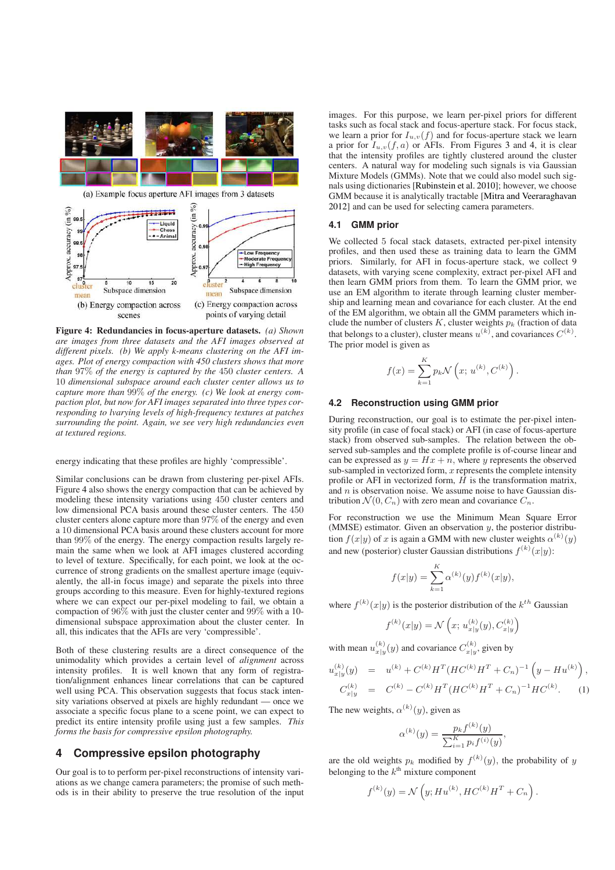



**Figure 4: Redundancies in focus-aperture datasets.** *(a) Shown are images from three datasets and the AFI images observed at different pixels. (b) We apply k-means clustering on the AFI images. Plot of energy compaction with 450 clusters shows that more than* 97% *of the energy is captured by the* 450 *cluster centers. A* 10 *dimensional subspace around each cluster center allows us to capture more than* 99% *of the energy. (c) We look at energy compaction plot, but now for AFI images separated into three types corresponding to lvarying levels of high-frequency textures at patches surrounding the point. Again, we see very high redundancies even at textured regions.*

energy indicating that these profiles are highly 'compressible'.

Similar conclusions can be drawn from clustering per-pixel AFIs. Figure 4 also shows the energy compaction that can be achieved by modeling these intensity variations using 450 cluster centers and low dimensional PCA basis around these cluster centers. The 450 cluster centers alone capture more than 97% of the energy and even a 10 dimensional PCA basis around these clusters account for more than 99% of the energy. The energy compaction results largely remain the same when we look at AFI images clustered according to level of texture. Specifically, for each point, we look at the occurrence of strong gradients on the smallest aperture image (equivalently, the all-in focus image) and separate the pixels into three groups according to this measure. Even for highly-textured regions where we can expect our per-pixel modeling to fail, we obtain a compaction of 96% with just the cluster center and 99% with a 10 dimensional subspace approximation about the cluster center. In all, this indicates that the AFIs are very 'compressible'.

Both of these clustering results are a direct consequence of the unimodality which provides a certain level of *alignment* across intensity profiles. It is well known that any form of registration/alignment enhances linear correlations that can be captured well using PCA. This observation suggests that focus stack intensity variations observed at pixels are highly redundant — once we associate a specific focus plane to a scene point, we can expect to predict its entire intensity profile using just a few samples. *This forms the basis for compressive epsilon photography.*

## **4 Compressive epsilon photography**

Our goal is to to perform per-pixel reconstructions of intensity variations as we change camera parameters; the promise of such methods is in their ability to preserve the true resolution of the input images. For this purpose, we learn per-pixel priors for different tasks such as focal stack and focus-aperture stack. For focus stack, we learn a prior for  $I_{u,v}(f)$  and for focus-aperture stack we learn a prior for  $I_{u,v}(f, a)$  or AFIs. From Figures 3 and 4, it is clear that the intensity profiles are tightly clustered around the cluster centers. A natural way for modeling such signals is via Gaussian Mixture Models (GMMs). Note that we could also model such signals using dictionaries [Rubinstein et al. 2010]; however, we choose GMM because it is analytically tractable [Mitra and Veeraraghavan 2012] and can be used for selecting camera parameters.

#### **4.1 GMM prior**

We collected 5 focal stack datasets, extracted per-pixel intensity profiles, and then used these as training data to learn the GMM priors. Similarly, for AFI in focus-aperture stack, we collect 9 datasets, with varying scene complexity, extract per-pixel AFI and then learn GMM priors from them. To learn the GMM prior, we use an EM algorithm to iterate through learning cluster membership and learning mean and covariance for each cluster. At the end of the EM algorithm, we obtain all the GMM parameters which include the number of clusters  $K$ , cluster weights  $p_k$  (fraction of data that belongs to a cluster), cluster means  $u^{(k)}$ , and covariances  $C^{(k)}$ . The prior model is given as

$$
f(x) = \sum_{k=1}^{K} p_k \mathcal{N}(x; u^{(k)}, C^{(k)}).
$$

#### **4.2 Reconstruction using GMM prior**

During reconstruction, our goal is to estimate the per-pixel intensity profile (in case of focal stack) or AFI (in case of focus-aperture stack) from observed sub-samples. The relation between the observed sub-samples and the complete profile is of-course linear and can be expressed as  $y = Hx + n$ , where y represents the observed sub-sampled in vectorized form,  $x$  represents the complete intensity profile or AFI in vectorized form,  $\overline{H}$  is the transformation matrix, and  $n$  is observation noise. We assume noise to have Gaussian distribution  $\mathcal{N}(0, C_n)$  with zero mean and covariance  $C_n$ .

For reconstruction we use the Minimum Mean Square Error (MMSE) estimator. Given an observation  $y$ , the posterior distribution  $f(x|y)$  of x is again a GMM with new cluster weights  $\alpha^{(k)}(y)$ and new (posterior) cluster Gaussian distributions  $f^{(k)}(x|y)$ :

$$
f(x|y) = \sum_{k=1}^{K} \alpha^{(k)}(y) f^{(k)}(x|y),
$$

where  $f^{(k)}(x|y)$  is the posterior distribution of the  $k^{th}$  Gaussian

$$
f^{(k)}(x|y) = \mathcal{N}\left(x; u_{x|y}^{(k)}(y), C_{x|y}^{(k)}\right)
$$

with mean  $u_{x|y}^{(k)}(y)$  and covariance  $C_{x|y}^{(k)}$ , given by

$$
u_{x|y}^{(k)}(y) = u^{(k)} + C^{(k)}H^{T}(HC^{(k)}H^{T} + C_{n})^{-1}(y - Hu^{(k)}),
$$
  
\n
$$
C_{x|y}^{(k)} = C^{(k)} - C^{(k)}H^{T}(HC^{(k)}H^{T} + C_{n})^{-1}HC^{(k)}.
$$
 (1)

The new weights,  $\alpha^{(k)}(y)$ , given as

$$
\alpha^{(k)}(y) = \frac{p_k f^{(k)}(y)}{\sum_{i=1}^K p_i f^{(i)}(y)},
$$

are the old weights  $p_k$  modified by  $f^{(k)}(y)$ , the probability of y belonging to the  $k^{\text{th}}$  mixture component

$$
f^{(k)}(y) = \mathcal{N}\left(y; H u^{(k)}, H C^{(k)} H^T + C_n\right).
$$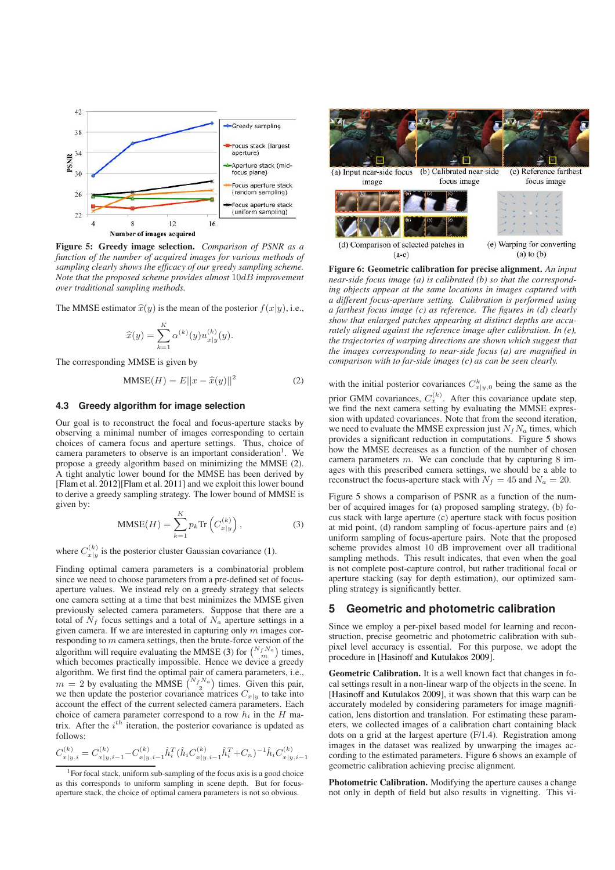

**Figure 5: Greedy image selection.** *Comparison of PSNR as a function of the number of acquired images for various methods of sampling clearly shows the efficacy of our greedy sampling scheme. Note that the proposed scheme provides almost* 10dB *improvement over traditional sampling methods.*

The MMSE estimator  $\hat{x}(y)$  is the mean of the posterior  $f(x|y)$ , i.e.,

$$
\widehat{x}(y) = \sum_{k=1}^{K} \alpha^{(k)}(y) u_{x|y}^{(k)}(y).
$$

The corresponding MMSE is given by

$$
\text{MMSE}(H) = E||x - \hat{x}(y)||^2 \tag{2}
$$

#### **4.3 Greedy algorithm for image selection**

Our goal is to reconstruct the focal and focus-aperture stacks by observing a minimal number of images corresponding to certain choices of camera focus and aperture settings. Thus, choice of camera parameters to observe is an important consideration<sup>1</sup>. We propose a greedy algorithm based on minimizing the MMSE (2). A tight analytic lower bound for the MMSE has been derived by [Flam et al. 2012][Flam et al. 2011] and we exploit this lower bound to derive a greedy sampling strategy. The lower bound of MMSE is given by:

$$
\text{MMSE}(H) = \sum_{k=1}^{K} p_k \text{Tr}\left(C_{x|y}^{(k)}\right),\tag{3}
$$

where  $C_{x|y}^{(k)}$  is the posterior cluster Gaussian covariance (1).

Finding optimal camera parameters is a combinatorial problem since we need to choose parameters from a pre-defined set of focusaperture values. We instead rely on a greedy strategy that selects one camera setting at a time that best minimizes the MMSE given previously selected camera parameters. Suppose that there are a total of  $N_f$  focus settings and a total of  $N_a$  aperture settings in a given camera. If we are interested in capturing only  $m$  images corresponding to m camera settings, then the brute-force version of the algorithm will require evaluating the MMSE (3) for  $\binom{N_f N_a}{m}$  times, which becomes practically impossible. Hence we device a greedy algorithm. We first find the optimal pair of camera parameters, i.e.,  $m = 2$  by evaluating the MMSE  $\binom{N_f N_a}{2}$  times. Given this pair, we then update the posterior covariance matrices  $C_{x|y}$  to take into account the effect of the current selected camera parameters. Each choice of camera parameter correspond to a row  $h_i$  in the H matrix. After the  $i^{th}$  iteration, the posterior covariance is updated as follows:

$$
C^{(k)}_{x|y,i} = C^{(k)}_{x|y,i-1} - C^{(k)}_{x|y,i-1} \hat{h}^T_i (\hat{h}_i C^{(k)}_{x|y,i-1} \hat{h}^T_i + C_n)^{-1} \hat{h}_i C^{(k)}_{x|y,i-1}
$$



**Figure 6: Geometric calibration for precise alignment.** *An input near-side focus image (a) is calibrated (b) so that the corresponding objects appear at the same locations in images captured with a different focus-aperture setting. Calibration is performed using a farthest focus image (c) as reference. The figures in (d) clearly show that enlarged patches appearing at distinct depths are accurately aligned against the reference image after calibration. In (e), the trajectories of warping directions are shown which suggest that the images corresponding to near-side focus (a) are magnified in comparison with to far-side images (c) as can be seen clearly.*

with the initial posterior covariances  $C_{x|y,0}^k$  being the same as the prior GMM covariances,  $C_x^{(k)}$ . After this covariance update step, we find the next camera setting by evaluating the MMSE expression with updated covariances. Note that from the second iteration, we need to evaluate the MMSE expression just  $N_fN_a$  times, which provides a significant reduction in computations. Figure 5 shows how the MMSE decreases as a function of the number of chosen camera parameters  $m$ . We can conclude that by capturing 8 images with this prescribed camera settings, we should be a able to reconstruct the focus-aperture stack with  $N_f = 45$  and  $N_a = 20$ .

Figure 5 shows a comparison of PSNR as a function of the number of acquired images for (a) proposed sampling strategy, (b) focus stack with large aperture (c) aperture stack with focus position at mid point, (d) random sampling of focus-aperture pairs and (e) uniform sampling of focus-aperture pairs. Note that the proposed scheme provides almost 10 dB improvement over all traditional sampling methods. This result indicates, that even when the goal is not complete post-capture control, but rather traditional focal or aperture stacking (say for depth estimation), our optimized sampling strategy is significantly better.

## **5 Geometric and photometric calibration**

Since we employ a per-pixel based model for learning and reconstruction, precise geometric and photometric calibration with subpixel level accuracy is essential. For this purpose, we adopt the procedure in [Hasinoff and Kutulakos 2009].

**Geometric Calibration.** It is a well known fact that changes in focal settings result in a non-linear warp of the objects in the scene. In [Hasinoff and Kutulakos 2009], it was shown that this warp can be accurately modeled by considering parameters for image magnification, lens distortion and translation. For estimating these parameters, we collected images of a calibration chart containing black dots on a grid at the largest aperture (F/1.4). Registration among images in the dataset was realized by unwarping the images according to the estimated parameters. Figure 6 shows an example of geometric calibration achieving precise alignment.

**Photometric Calibration.** Modifying the aperture causes a change not only in depth of field but also results in vignetting. This vi-

<sup>&</sup>lt;sup>1</sup>For focal stack, uniform sub-sampling of the focus axis is a good choice as this corresponds to uniform sampling in scene depth. But for focusaperture stack, the choice of optimal camera parameters is not so obvious.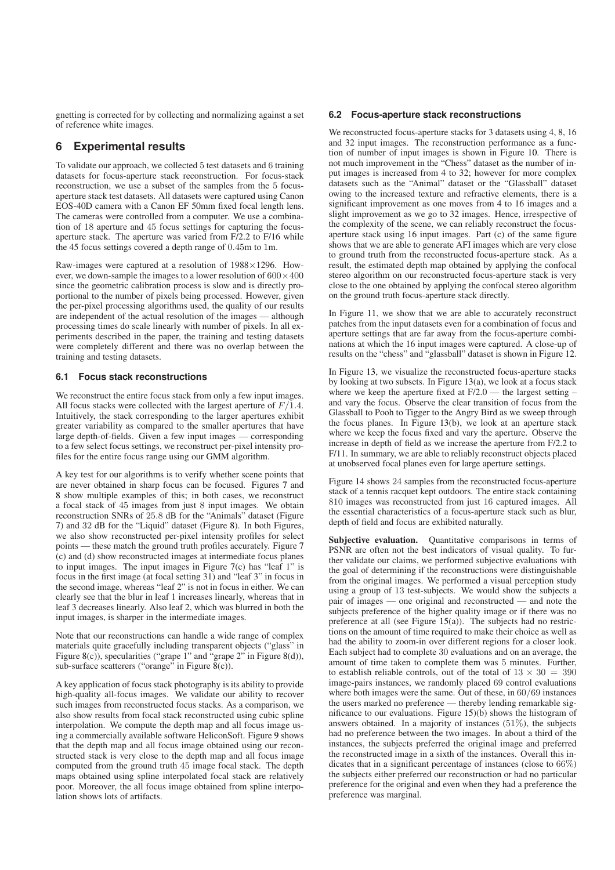gnetting is corrected for by collecting and normalizing against a set of reference white images.

## **6 Experimental results**

To validate our approach, we collected 5 test datasets and 6 training datasets for focus-aperture stack reconstruction. For focus-stack reconstruction, we use a subset of the samples from the 5 focusaperture stack test datasets. All datasets were captured using Canon EOS-40D camera with a Canon EF 50mm fixed focal length lens. The cameras were controlled from a computer. We use a combination of 18 aperture and 45 focus settings for capturing the focusaperture stack. The aperture was varied from F/2.2 to F/16 while the 45 focus settings covered a depth range of 0.45m to 1m.

Raw-images were captured at a resolution of 1988×1296. However, we down-sample the images to a lower resolution of  $600 \times 400$ since the geometric calibration process is slow and is directly proportional to the number of pixels being processed. However, given the per-pixel processing algorithms used, the quality of our results are independent of the actual resolution of the images — although processing times do scale linearly with number of pixels. In all experiments described in the paper, the training and testing datasets were completely different and there was no overlap between the training and testing datasets.

## **6.1 Focus stack reconstructions**

We reconstruct the entire focus stack from only a few input images. All focus stacks were collected with the largest aperture of  $F/1.4$ . Intuitively, the stack corresponding to the larger apertures exhibit greater variability as compared to the smaller apertures that have large depth-of-fields. Given a few input images — corresponding to a few select focus settings, we reconstruct per-pixel intensity profiles for the entire focus range using our GMM algorithm.

A key test for our algorithms is to verify whether scene points that are never obtained in sharp focus can be focused. Figures 7 and 8 show multiple examples of this; in both cases, we reconstruct a focal stack of 45 images from just 8 input images. We obtain reconstruction SNRs of 25.8 dB for the "Animals" dataset (Figure 7) and 32 dB for the "Liquid" dataset (Figure 8). In both Figures, we also show reconstructed per-pixel intensity profiles for select points — these match the ground truth profiles accurately. Figure 7 (c) and (d) show reconstructed images at intermediate focus planes to input images. The input images in Figure 7(c) has "leaf 1" is focus in the first image (at focal setting 31) and "leaf 3" in focus in the second image, whereas "leaf 2" is not in focus in either. We can clearly see that the blur in leaf 1 increases linearly, whereas that in leaf 3 decreases linearly. Also leaf 2, which was blurred in both the input images, is sharper in the intermediate images.

Note that our reconstructions can handle a wide range of complex materials quite gracefully including transparent objects ("glass" in Figure 8(c)), specularities ("grape 1" and "grape 2" in Figure 8(d)), sub-surface scatterers ("orange" in Figure  $8(c)$ ).

A key application of focus stack photography is its ability to provide high-quality all-focus images. We validate our ability to recover such images from reconstructed focus stacks. As a comparison, we also show results from focal stack reconstructed using cubic spline interpolation. We compute the depth map and all focus image using a commercially available software HeliconSoft. Figure 9 shows that the depth map and all focus image obtained using our reconstructed stack is very close to the depth map and all focus image computed from the ground truth 45 image focal stack. The depth maps obtained using spline interpolated focal stack are relatively poor. Moreover, the all focus image obtained from spline interpolation shows lots of artifacts.

## **6.2 Focus-aperture stack reconstructions**

We reconstructed focus-aperture stacks for 3 datasets using 4, 8, 16 and 32 input images. The reconstruction performance as a function of number of input images is shown in Figure 10. There is not much improvement in the "Chess" dataset as the number of input images is increased from 4 to 32; however for more complex datasets such as the "Animal" dataset or the "Glassball" dataset owing to the increased texture and refractive elements, there is a significant improvement as one moves from 4 to 16 images and a slight improvement as we go to 32 images. Hence, irrespective of the complexity of the scene, we can reliably reconstruct the focusaperture stack using 16 input images. Part (c) of the same figure shows that we are able to generate AFI images which are very close to ground truth from the reconstructed focus-aperture stack. As a result, the estimated depth map obtained by applying the confocal stereo algorithm on our reconstructed focus-aperture stack is very close to the one obtained by applying the confocal stereo algorithm on the ground truth focus-aperture stack directly.

In Figure 11, we show that we are able to accurately reconstruct patches from the input datasets even for a combination of focus and aperture settings that are far away from the focus-aperture combinations at which the 16 input images were captured. A close-up of results on the "chess" and "glassball" dataset is shown in Figure 12.

In Figure 13, we visualize the reconstructed focus-aperture stacks by looking at two subsets. In Figure 13(a), we look at a focus stack where we keep the aperture fixed at  $F/2.0$  — the largest setting – and vary the focus. Observe the clear transition of focus from the Glassball to Pooh to Tigger to the Angry Bird as we sweep through the focus planes. In Figure 13(b), we look at an aperture stack where we keep the focus fixed and vary the aperture. Observe the increase in depth of field as we increase the aperture from F/2.2 to F/11. In summary, we are able to reliably reconstruct objects placed at unobserved focal planes even for large aperture settings.

Figure 14 shows 24 samples from the reconstructed focus-aperture stack of a tennis racquet kept outdoors. The entire stack containing 810 images was reconstructed from just 16 captured images. All the essential characteristics of a focus-aperture stack such as blur, depth of field and focus are exhibited naturally.

**Subjective evaluation.** Quantitative comparisons in terms of PSNR are often not the best indicators of visual quality. To further validate our claims, we performed subjective evaluations with the goal of determining if the reconstructions were distinguishable from the original images. We performed a visual perception study using a group of 13 test-subjects. We would show the subjects a pair of images — one original and reconstructed — and note the subjects preference of the higher quality image or if there was no preference at all (see Figure 15(a)). The subjects had no restrictions on the amount of time required to make their choice as well as had the ability to zoom-in over different regions for a closer look. Each subject had to complete 30 evaluations and on an average, the amount of time taken to complete them was 5 minutes. Further, to establish reliable controls, out of the total of  $13 \times 30 = 390$ image-pairs instances, we randomly placed 69 control evaluations where both images were the same. Out of these, in 60/69 instances the users marked no preference — thereby lending remarkable significance to our evaluations. Figure 15)(b) shows the histogram of answers obtained. In a majority of instances (51%), the subjects had no preference between the two images. In about a third of the instances, the subjects preferred the original image and preferred the reconstructed image in a sixth of the instances. Overall this indicates that in a significant percentage of instances (close to 66%) the subjects either preferred our reconstruction or had no particular preference for the original and even when they had a preference the preference was marginal.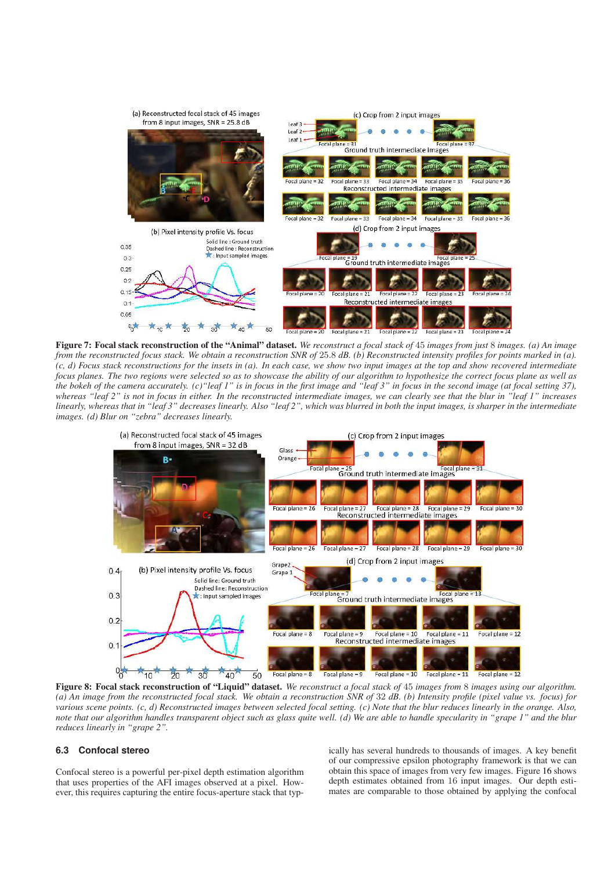

**Figure 7: Focal stack reconstruction of the "Animal" dataset.** *We reconstruct a focal stack of* 45 *images from just* 8 *images. (a) An image from the reconstructed focus stack. We obtain a reconstruction SNR of* 25.8 *dB. (b) Reconstructed intensity profiles for points marked in (a). (c, d) Focus stack reconstructions for the insets in (a). In each case, we show two input images at the top and show recovered intermediate focus planes. The two regions were selected so as to showcase the ability of our algorithm to hypothesize the correct focus plane as well as the bokeh of the camera accurately. (c)"leaf 1" is in focus in the first image and "leaf 3" in focus in the second image (at focal setting 37), whereas "leaf 2" is not in focus in either. In the reconstructed intermediate images, we can clearly see that the blur in "leaf 1" increases linearly, whereas that in "leaf 3" decreases linearly. Also "leaf 2", which was blurred in both the input images, is sharper in the intermediate images. (d) Blur on "zebra" decreases linearly.*



**Figure 8: Focal stack reconstruction of "Liquid" dataset.** *We reconstruct a focal stack of* 45 *images from* 8 *images using our algorithm. (a) An image from the reconstructed focal stack. We obtain a reconstruction SNR of* 32 *dB. (b) Intensity profile (pixel value vs. focus) for various scene points. (c, d) Reconstructed images between selected focal setting. (c) Note that the blur reduces linearly in the orange. Also, note that our algorithm handles transparent object such as glass quite well. (d) We are able to handle specularity in "grape 1" and the blur reduces linearly in "grape 2".*

#### **6.3 Confocal stereo**

Confocal stereo is a powerful per-pixel depth estimation algorithm that uses properties of the AFI images observed at a pixel. However, this requires capturing the entire focus-aperture stack that typically has several hundreds to thousands of images. A key benefit of our compressive epsilon photography framework is that we can obtain this space of images from very few images. Figure 16 shows depth estimates obtained from 16 input images. Our depth estimates are comparable to those obtained by applying the confocal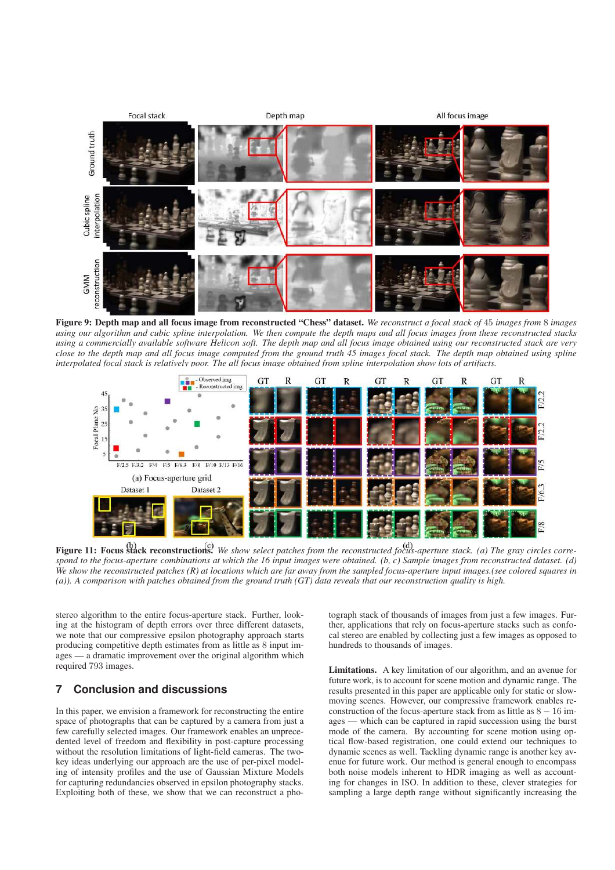

**Figure 9: Depth map and all focus image from reconstructed "Chess" dataset.** *We reconstruct a focal stack of* 45 *images from* 8 *images using our algorithm and cubic spline interpolation. We then compute the depth maps and all focus images from these reconstructed stacks using a commercially available software Helicon soft. The depth map and all focus image obtained using our reconstructed stack are very close to the depth map and all focus image computed from the ground truth 45 images focal stack. The depth map obtained using spline interpolated focal stack is relatively poor. The all focus image obtained from spline interpolation show lots of artifacts.*



**Figure 11: Focus stack reconstructions.** *We show select patches from the reconstructed focus-aperture stack. (a) The gray circles correspond to the focus-aperture combinations at which the 16 input images were obtained. (b, c) Sample images from reconstructed dataset. (d) We show the reconstructed patches (R) at locations which are far away from the sampled focus-aperture input images.(see colored squares in (a)). A comparison with patches obtained from the ground truth (GT) data reveals that our reconstruction quality is high.*

stereo algorithm to the entire focus-aperture stack. Further, looking at the histogram of depth errors over three different datasets, we note that our compressive epsilon photography approach starts producing competitive depth estimates from as little as 8 input images — a dramatic improvement over the original algorithm which required 793 images.

## **7 Conclusion and discussions**

In this paper, we envision a framework for reconstructing the entire space of photographs that can be captured by a camera from just a few carefully selected images. Our framework enables an unprecedented level of freedom and flexibility in post-capture processing without the resolution limitations of light-field cameras. The twokey ideas underlying our approach are the use of per-pixel modeling of intensity profiles and the use of Gaussian Mixture Models for capturing redundancies observed in epsilon photography stacks. Exploiting both of these, we show that we can reconstruct a photograph stack of thousands of images from just a few images. Further, applications that rely on focus-aperture stacks such as confocal stereo are enabled by collecting just a few images as opposed to hundreds to thousands of images.

**Limitations.** A key limitation of our algorithm, and an avenue for future work, is to account for scene motion and dynamic range. The results presented in this paper are applicable only for static or slowmoving scenes. However, our compressive framework enables reconstruction of the focus-aperture stack from as little as  $8 - 16$  images — which can be captured in rapid succession using the burst mode of the camera. By accounting for scene motion using optical flow-based registration, one could extend our techniques to dynamic scenes as well. Tackling dynamic range is another key avenue for future work. Our method is general enough to encompass both noise models inherent to HDR imaging as well as accounting for changes in ISO. In addition to these, clever strategies for sampling a large depth range without significantly increasing the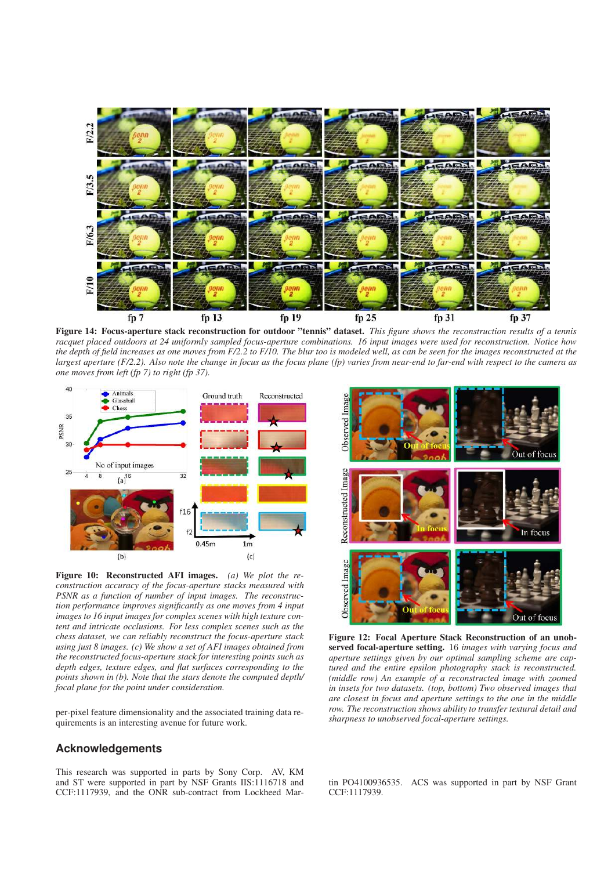

**Figure 14: Focus-aperture stack reconstruction for outdoor "tennis" dataset.** *This figure shows the reconstruction results of a tennis racquet placed outdoors at 24 uniformly sampled focus-aperture combinations. 16 input images were used for reconstruction. Notice how the depth of field increases as one moves from F/2.2 to F/10. The blur too is modeled well, as can be seen for the images reconstructed at the largest aperture (F/2.2). Also note the change in focus as the focus plane (fp) varies from near-end to far-end with respect to the camera as one moves from left (fp 7) to right (fp 37).*



**Figure 10: Reconstructed AFI images.** *(a) We plot the reconstruction accuracy of the focus-aperture stacks measured with PSNR as a function of number of input images. The reconstruction performance improves significantly as one moves from 4 input images to 16 input images for complex scenes with high texture content and intricate occlusions. For less complex scenes such as the chess dataset, we can reliably reconstruct the focus-aperture stack using just 8 images. (c) We show a set of AFI images obtained from the reconstructed focus-aperture stack for interesting points such as depth edges, texture edges, and flat surfaces corresponding to the points shown in (b). Note that the stars denote the computed depth/ focal plane for the point under consideration.*

per-pixel feature dimensionality and the associated training data requirements is an interesting avenue for future work.

## **Acknowledgements**

This research was supported in parts by Sony Corp. AV, KM and ST were supported in part by NSF Grants IIS:1116718 and CCF:1117939, and the ONR sub-contract from Lockheed Mar-



**Figure 12: Focal Aperture Stack Reconstruction of an unobserved focal-aperture setting.** 16 *images with varying focus and aperture settings given by our optimal sampling scheme are captured and the entire epsilon photography stack is reconstructed. (middle row) An example of a reconstructed image with zoomed in insets for two datasets. (top, bottom) Two observed images that are closest in focus and aperture settings to the one in the middle row. The reconstruction shows ability to transfer textural detail and sharpness to unobserved focal-aperture settings.*

tin PO4100936535. ACS was supported in part by NSF Grant CCF:1117939.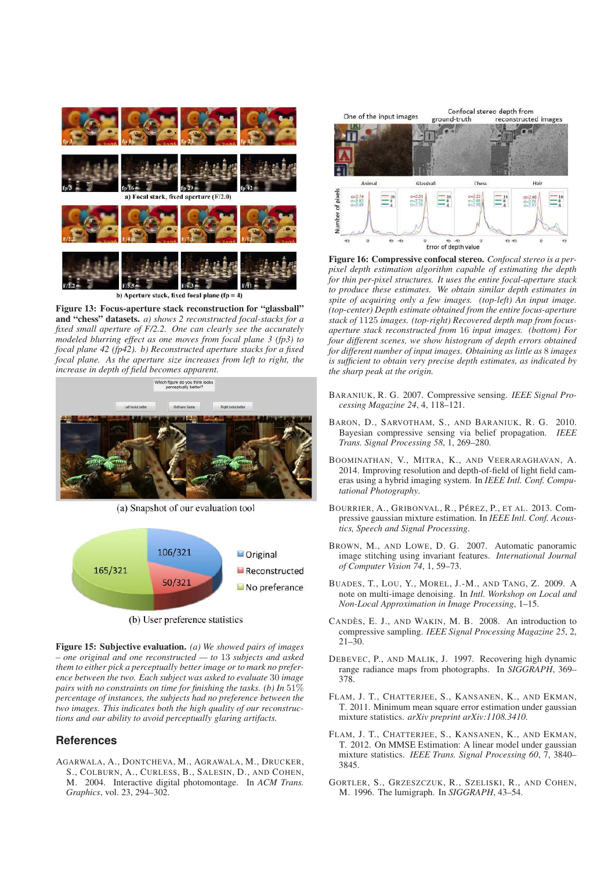

**Figure 13: Focus-aperture stack reconstruction for "glassball" and "chess" datasets.** *a) shows 2 reconstructed focal-stacks for a fixed small aperture of F/2.2. One can clearly see the accurately modeled blurring effect as one moves from focal plane 3 (fp3) to focal plane 42 (fp42). b) Reconstructed aperture stacks for a fixed focal plane. As the aperture size increases from left to right, the increase in depth of field becomes apparent.*



(a) Snapshot of our evaluation tool



(b) User preference statistics

**Figure 15: Subjective evaluation.** *(a) We showed pairs of images – one original and one reconstructed — to* 13 *subjects and asked them to either pick a perceptually better image or to mark no preference between the two. Each subject was asked to evaluate* 30 *image pairs with no constraints on time for finishing the tasks. (b) In* 51% *percentage of instances, the subjects had no preference between the two images. This indicates both the high quality of our reconstructions and our ability to avoid perceptually glaring artifacts.*

## **References**

AGARWALA, A., DONTCHEVA, M., AGRAWALA, M., DRUCKER, S., COLBURN, A., CURLESS, B., SALESIN, D., AND COHEN, M. 2004. Interactive digital photomontage. In *ACM Trans. Graphics*, vol. 23, 294–302.



**Figure 16: Compressive confocal stereo.** *Confocal stereo is a perpixel depth estimation algorithm capable of estimating the depth for thin per-pixel structures. It uses the entire focal-aperture stack to produce these estimates. We obtain similar depth estimates in spite of acquiring only a few images. (top-left) An input image. (top-center) Depth estimate obtained from the entire focus-aperture stack of* 1125 *images. (top-right) Recovered depth map from focusaperture stack reconstructed from* 16 *input images. (bottom) For four different scenes, we show histogram of depth errors obtained for different number of input images. Obtaining as little as* 8 *images is sufficient to obtain very precise depth estimates, as indicated by the sharp peak at the origin.*

- BARANIUK, R. G. 2007. Compressive sensing. *IEEE Signal Processing Magazine 24*, 4, 118–121.
- BARON, D., SARVOTHAM, S., AND BARANIUK, R. G. 2010. Bayesian compressive sensing via belief propagation. *IEEE Trans. Signal Processing 58*, 1, 269–280.
- BOOMINATHAN, V., MITRA, K., AND VEERARAGHAVAN, A. 2014. Improving resolution and depth-of-field of light field cameras using a hybrid imaging system. In *IEEE Intl. Conf. Computational Photography*.
- BOURRIER, A., GRIBONVAL, R., PÉREZ, P., ET AL. 2013. Compressive gaussian mixture estimation. In *IEEE Intl. Conf. Acoustics, Speech and Signal Processing*.
- BROWN, M., AND LOWE, D. G. 2007. Automatic panoramic image stitching using invariant features. *International Journal of Computer Vision 74*, 1, 59–73.
- BUADES, T., LOU, Y., MOREL, J.-M., AND TANG, Z. 2009. A note on multi-image denoising. In *Intl. Workshop on Local and Non-Local Approximation in Image Processing*, 1–15.
- CANDÈS, E. J., AND WAKIN, M. B. 2008. An introduction to compressive sampling. *IEEE Signal Processing Magazine 25*, 2, 21–30.
- DEBEVEC, P., AND MALIK, J. 1997. Recovering high dynamic range radiance maps from photographs. In *SIGGRAPH*, 369– 378.
- FLAM, J. T., CHATTERJEE, S., KANSANEN, K., AND EKMAN, T. 2011. Minimum mean square error estimation under gaussian mixture statistics. *arXiv preprint arXiv:1108.3410*.
- FLAM, J. T., CHATTERJEE, S., KANSANEN, K., AND EKMAN, T. 2012. On MMSE Estimation: A linear model under gaussian mixture statistics. *IEEE Trans. Signal Processing 60*, 7, 3840– 3845.
- GORTLER, S., GRZESZCZUK, R., SZELISKI, R., AND COHEN, M. 1996. The lumigraph. In *SIGGRAPH*, 43–54.